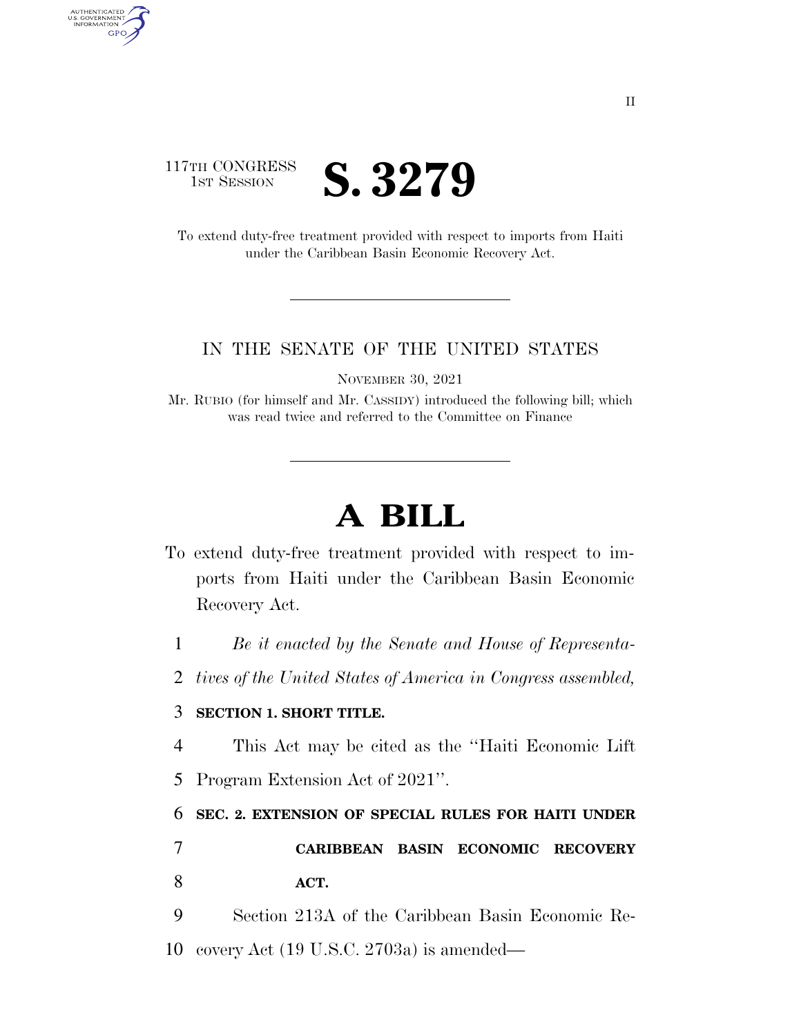

AUTHENTICATED<br>U.S. GOVERNMENT<br>INFORMATION **GPO** 

> To extend duty-free treatment provided with respect to imports from Haiti under the Caribbean Basin Economic Recovery Act.

## IN THE SENATE OF THE UNITED STATES

NOVEMBER 30, 2021

Mr. RUBIO (for himself and Mr. CASSIDY) introduced the following bill; which was read twice and referred to the Committee on Finance

## **A BILL**

To extend duty-free treatment provided with respect to imports from Haiti under the Caribbean Basin Economic Recovery Act.

1 *Be it enacted by the Senate and House of Representa-*

2 *tives of the United States of America in Congress assembled,* 

## 3 **SECTION 1. SHORT TITLE.**

- 4 This Act may be cited as the ''Haiti Economic Lift
- 5 Program Extension Act of 2021''.

6 **SEC. 2. EXTENSION OF SPECIAL RULES FOR HAITI UNDER** 

7 **CARIBBEAN BASIN ECONOMIC RECOVERY**  8 **ACT.** 

9 Section 213A of the Caribbean Basin Economic Re-10 covery Act (19 U.S.C. 2703a) is amended—